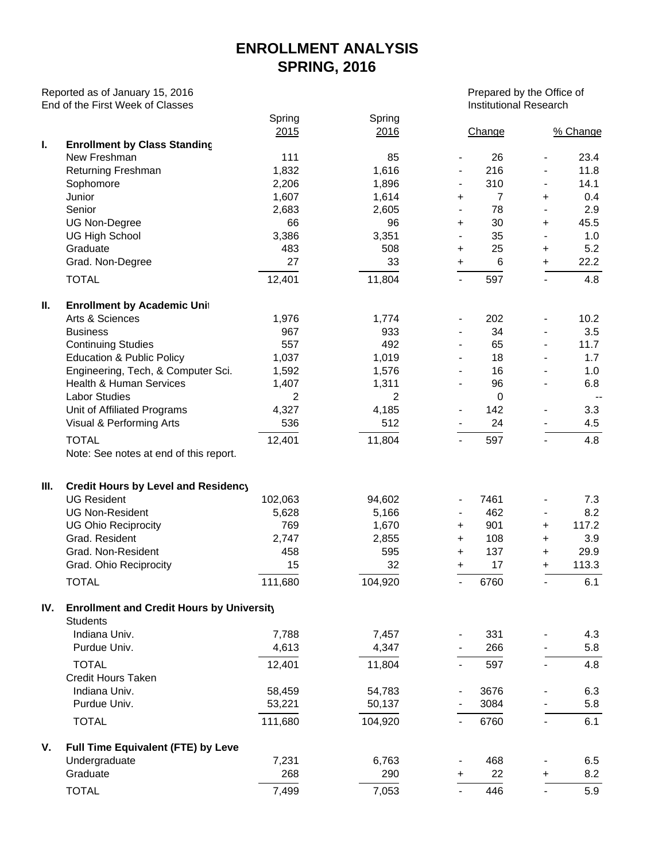## **ENROLLMENT ANALYSIS SPRING, 2016**

Reported as of January 15, 2016 Prepared by the Office of Prepared by the Office of End of the First Week of Classes **Institutional Research** Controller institutional Research

|     |                                                        | Spring<br>2015 | Spring<br>2016 | Change                           |                          | % Change                 |
|-----|--------------------------------------------------------|----------------|----------------|----------------------------------|--------------------------|--------------------------|
| ı.  | <b>Enrollment by Class Standing</b>                    |                |                |                                  |                          |                          |
|     | New Freshman                                           | 111            | 85             | 26<br>$\blacksquare$             | $\overline{\phantom{a}}$ | 23.4                     |
|     | Returning Freshman                                     | 1,832          | 1,616          | 216                              | $\overline{\phantom{a}}$ | 11.8                     |
|     | Sophomore                                              | 2,206          | 1,896          | 310                              | $\overline{\phantom{a}}$ | 14.1                     |
|     | Junior                                                 | 1,607          | 1,614          | $\overline{7}$<br>+              | +                        | 0.4                      |
|     | Senior                                                 | 2,683          | 2,605          | 78<br>$\blacksquare$             | $\blacksquare$           | 2.9                      |
|     | <b>UG Non-Degree</b>                                   | 66             | 96             | 30<br>+                          | +                        | 45.5                     |
|     | <b>UG High School</b>                                  | 3,386          | 3,351          | 35                               | $\overline{\phantom{a}}$ | 1.0                      |
|     | Graduate                                               | 483            | 508            | 25<br>+                          | +                        | 5.2                      |
|     | Grad. Non-Degree                                       | 27             | 33             | 6<br>$\ddot{}$                   | +                        | 22.2                     |
|     | <b>TOTAL</b>                                           | 12,401         | 11,804         | 597                              | $\blacksquare$           | 4.8                      |
| Ш.  | <b>Enrollment by Academic Unit</b>                     |                |                |                                  |                          |                          |
|     | Arts & Sciences                                        | 1,976          | 1,774          | 202                              | $\overline{\phantom{a}}$ | 10.2                     |
|     | <b>Business</b>                                        | 967            | 933            | 34<br>$\overline{\phantom{a}}$   | $\frac{1}{2}$            | 3.5                      |
|     | <b>Continuing Studies</b>                              | 557            | 492            | 65<br>$\overline{\phantom{a}}$   | $\overline{\phantom{0}}$ | 11.7                     |
|     | <b>Education &amp; Public Policy</b>                   | 1,037          | 1,019          | 18                               | $\frac{1}{2}$            | 1.7                      |
|     | Engineering, Tech, & Computer Sci.                     | 1,592          | 1,576          | 16                               | $\frac{1}{2}$            | 1.0                      |
|     | <b>Health &amp; Human Services</b>                     | 1,407          | 1,311          | 96                               | $\overline{\phantom{a}}$ | 6.8                      |
|     | <b>Labor Studies</b>                                   | $\overline{c}$ | $\overline{2}$ | $\boldsymbol{0}$                 |                          | $\overline{\phantom{a}}$ |
|     | Unit of Affiliated Programs                            | 4,327          | 4,185          | 142                              |                          | 3.3                      |
|     | Visual & Performing Arts                               | 536            | 512            | 24                               |                          | 4.5                      |
|     | <b>TOTAL</b><br>Note: See notes at end of this report. | 12,401         | 11,804         | 597<br>$\overline{\phantom{a}}$  | $\blacksquare$           | 4.8                      |
| Ш.  | Credit Hours by Level and Residency                    |                |                |                                  |                          |                          |
|     | <b>UG Resident</b>                                     | 102,063        | 94,602         | 7461<br>$\overline{\phantom{a}}$ | $\blacksquare$           | 7.3                      |
|     | <b>UG Non-Resident</b>                                 | 5,628          | 5,166          | 462<br>$\overline{\phantom{a}}$  | $\overline{\phantom{a}}$ | 8.2                      |
|     | <b>UG Ohio Reciprocity</b>                             | 769            | 1,670          | 901<br>+                         | $\ddot{}$                | 117.2                    |
|     | Grad. Resident                                         | 2,747          | 2,855          | 108<br>+                         | $\ddot{}$                | 3.9                      |
|     | Grad. Non-Resident                                     | 458            | 595            | 137<br>+                         | $\ddot{}$                | 29.9                     |
|     | Grad. Ohio Reciprocity                                 | 15             | 32             | 17<br>$\ddot{}$                  | +                        | 113.3                    |
|     | <b>TOTAL</b>                                           | 111,680        | 104,920        | 6760<br>$\overline{\phantom{a}}$ | $\blacksquare$           | 6.1                      |
| IV. | <b>Enrollment and Credit Hours by University</b>       |                |                |                                  |                          |                          |
|     | <b>Students</b><br>Indiana Univ.                       | 7,788          | 7,457          | 331                              |                          | 4.3                      |
|     | Purdue Univ.                                           | 4,613          | 4,347          | 266                              |                          | 5.8                      |
|     | <b>TOTAL</b>                                           |                |                |                                  |                          |                          |
|     | <b>Credit Hours Taken</b>                              | 12,401         | 11,804         | 597                              |                          | 4.8                      |
|     | Indiana Univ.                                          | 58,459         | 54,783         | 3676                             |                          | 6.3                      |
|     | Purdue Univ.                                           | 53,221         | 50,137         | 3084                             |                          | 5.8                      |
|     | <b>TOTAL</b>                                           | 111,680        | 104,920        | 6760                             | $\overline{\phantom{0}}$ | 6.1                      |
| V.  | Full Time Equivalent (FTE) by Leve                     |                |                |                                  |                          |                          |
|     | Undergraduate                                          | 7,231          | 6,763          | 468                              |                          | 6.5                      |
|     | Graduate                                               | 268            | 290            | 22<br>$\ddot{}$                  | +                        | 8.2                      |
|     | <b>TOTAL</b>                                           | 7,499          | 7,053          | 446                              |                          | 5.9                      |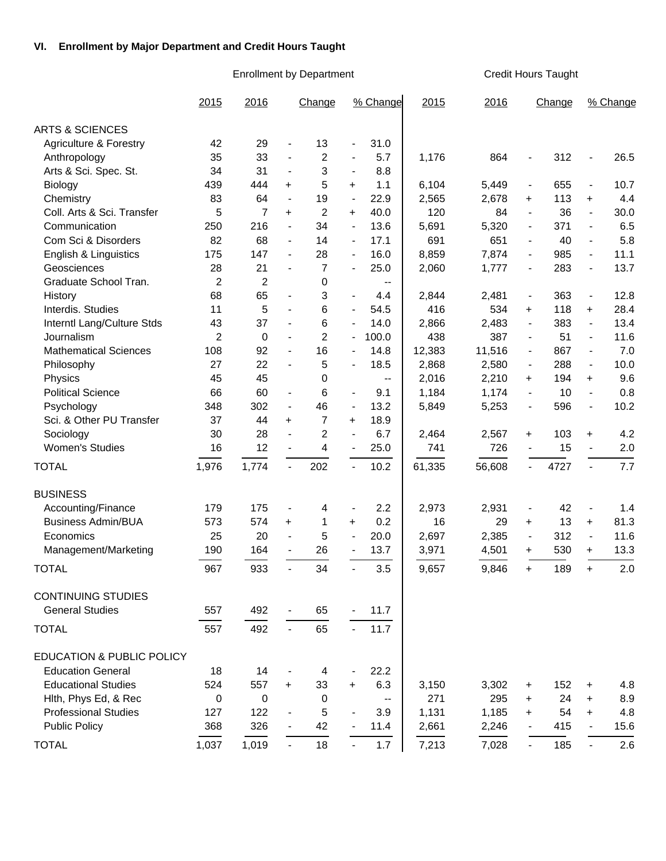## **VI. Enrollment by Major Department and Credit Hours Taught**

Enrollment by Department Credit Hours Taught

L.

|                                      | 2015           | 2016        |                              | Change         |                          | % Change                                      | 2015   | 2016   |                          | Change |                          | % Change |
|--------------------------------------|----------------|-------------|------------------------------|----------------|--------------------------|-----------------------------------------------|--------|--------|--------------------------|--------|--------------------------|----------|
| <b>ARTS &amp; SCIENCES</b>           |                |             |                              |                |                          |                                               |        |        |                          |        |                          |          |
| Agriculture & Forestry               | 42             | 29          | $\qquad \qquad \blacksquare$ | 13             | $\overline{\phantom{a}}$ | 31.0                                          |        |        |                          |        |                          |          |
| Anthropology                         | 35             | 33          | $\overline{\phantom{a}}$     | $\overline{c}$ | $\overline{\phantom{a}}$ | 5.7                                           | 1,176  | 864    | $\overline{\phantom{a}}$ | 312    | $\overline{\phantom{a}}$ | 26.5     |
| Arts & Sci. Spec. St.                | 34             | 31          | $\overline{\phantom{a}}$     | 3              | $\overline{\phantom{a}}$ | 8.8                                           |        |        |                          |        |                          |          |
| Biology                              | 439            | 444         | $+$                          | 5              | +                        | 1.1                                           | 6,104  | 5,449  | $\overline{\phantom{a}}$ | 655    | $\overline{\phantom{a}}$ | 10.7     |
| Chemistry                            | 83             | 64          | $\overline{\phantom{a}}$     | 19             | $\blacksquare$           | 22.9                                          | 2,565  | 2,678  | $\ddot{}$                | 113    | $\ddot{}$                | 4.4      |
| Coll. Arts & Sci. Transfer           | 5              | 7           | $\ddot{}$                    | $\overline{c}$ | +                        | 40.0                                          | 120    | 84     | $\blacksquare$           | 36     | $\blacksquare$           | 30.0     |
| Communication                        | 250            | 216         | $\overline{\phantom{a}}$     | 34             | $\overline{\phantom{a}}$ | 13.6                                          | 5,691  | 5,320  | $\overline{\phantom{a}}$ | 371    | $\overline{\phantom{a}}$ | 6.5      |
| Com Sci & Disorders                  | 82             | 68          | $\overline{\phantom{0}}$     | 14             | $\overline{\phantom{a}}$ | 17.1                                          | 691    | 651    | $\overline{\phantom{a}}$ | 40     | $\overline{\phantom{a}}$ | 5.8      |
| English & Linguistics                | 175            | 147         | $\overline{\phantom{0}}$     | 28             |                          | 16.0                                          | 8,859  | 7,874  | $\overline{\phantom{a}}$ | 985    | $\blacksquare$           | 11.1     |
| Geosciences                          | 28             | 21          | $\overline{\phantom{a}}$     | 7              | $\overline{\phantom{a}}$ | 25.0                                          | 2,060  | 1,777  | $\overline{\phantom{a}}$ | 283    | $\blacksquare$           | 13.7     |
| Graduate School Tran.                | $\overline{c}$ | 2           |                              | 0              |                          | $\overline{\phantom{a}}$                      |        |        |                          |        |                          |          |
| History                              | 68             | 65          | $\overline{\phantom{m}}$     | 3              | $\overline{\phantom{a}}$ | 4.4                                           | 2,844  | 2,481  | $\overline{\phantom{a}}$ | 363    | $\overline{\phantom{a}}$ | 12.8     |
| Interdis. Studies                    | 11             | 5           | $\overline{\phantom{a}}$     | 6              | $\overline{\phantom{a}}$ | 54.5                                          | 416    | 534    | +                        | 118    | $\ddot{}$                | 28.4     |
| Interntl Lang/Culture Stds           | 43             | 37          | $\overline{\phantom{m}}$     | 6              | $\overline{\phantom{a}}$ | 14.0                                          | 2,866  | 2,483  | $\overline{\phantom{a}}$ | 383    | $\overline{\phantom{a}}$ | 13.4     |
| Journalism                           | $\overline{c}$ | 0           | $\blacksquare$               | $\overline{c}$ | $\overline{\phantom{a}}$ | 100.0                                         | 438    | 387    | $\overline{\phantom{a}}$ | 51     | $\overline{\phantom{a}}$ | 11.6     |
| <b>Mathematical Sciences</b>         | 108            | 92          | $\overline{\phantom{a}}$     | 16             | $\overline{\phantom{a}}$ | 14.8                                          | 12,383 | 11,516 | $\blacksquare$           | 867    | $\overline{\phantom{a}}$ | 7.0      |
| Philosophy                           | 27             | 22          | $\overline{\phantom{a}}$     | 5              |                          | 18.5                                          | 2,868  | 2,580  | $\overline{\phantom{a}}$ | 288    | $\overline{\phantom{a}}$ | 10.0     |
| Physics                              | 45             | 45          |                              | 0              |                          | $\overline{\phantom{a}}$                      | 2,016  | 2,210  | $\ddot{}$                | 194    | $\ddot{}$                | 9.6      |
| <b>Political Science</b>             | 66             | 60          | $\overline{\phantom{a}}$     | 6              | $\overline{\phantom{a}}$ | 9.1                                           | 1,184  | 1,174  | $\overline{\phantom{a}}$ | 10     | $\overline{\phantom{a}}$ | 0.8      |
| Psychology                           | 348            | 302         | $\overline{\phantom{a}}$     | 46             | $\overline{\phantom{a}}$ | 13.2                                          | 5,849  | 5,253  | $\blacksquare$           | 596    | $\overline{\phantom{a}}$ | 10.2     |
| Sci. & Other PU Transfer             | 37             | 44          | $+$                          | 7              | +                        | 18.9                                          |        |        |                          |        |                          |          |
| Sociology                            | 30             | 28          | $\frac{1}{2}$                | $\overline{c}$ | $\overline{\phantom{a}}$ | 6.7                                           | 2,464  | 2,567  | $\ddot{}$                | 103    | $\ddot{}$                | 4.2      |
| <b>Women's Studies</b>               | 16             | 12          | $\overline{\phantom{a}}$     | 4              | $\overline{\phantom{a}}$ | 25.0                                          | 741    | 726    | $\blacksquare$           | 15     | $\overline{\phantom{a}}$ | 2.0      |
| <b>TOTAL</b>                         | 1,976          | 1,774       | $\blacksquare$               | 202            | $\mathbf{r}$             | 10.2                                          | 61,335 | 56,608 | $\overline{a}$           | 4727   | $\blacksquare$           | 7.7      |
| <b>BUSINESS</b>                      |                |             |                              |                |                          |                                               |        |        |                          |        |                          |          |
| Accounting/Finance                   | 179            | 175         | $\qquad \qquad \blacksquare$ | 4              | $\blacksquare$           | 2.2                                           | 2,973  | 2,931  | $\overline{\phantom{a}}$ | 42     | $\overline{\phantom{a}}$ | 1.4      |
| <b>Business Admin/BUA</b>            | 573            | 574         | $\ddot{}$                    | 1              | +                        | 0.2                                           | 16     | 29     | +                        | 13     | $\ddot{}$                | 81.3     |
| Economics                            | 25             | 20          | $\overline{\phantom{a}}$     | 5              | $\overline{\phantom{a}}$ | 20.0                                          | 2,697  | 2,385  | $\overline{\phantom{a}}$ | 312    | $\overline{\phantom{a}}$ | 11.6     |
| Management/Marketing                 | 190            | 164         | $\blacksquare$               | 26             | $\blacksquare$           | 13.7                                          | 3,971  | 4,501  | $\pm$                    | 530    | $\pm$                    | 13.3     |
| <b>TOTAL</b>                         | 967            | 933         | $\blacksquare$               | 34             | $\blacksquare$           | 3.5                                           | 9,657  | 9,846  | $\ddot{}$                | 189    | $\ddot{}$                | 2.0      |
| <b>CONTINUING STUDIES</b>            |                |             |                              |                |                          |                                               |        |        |                          |        |                          |          |
| <b>General Studies</b>               | 557            | 492         |                              | 65             |                          | 11.7                                          |        |        |                          |        |                          |          |
|                                      |                |             |                              |                |                          |                                               |        |        |                          |        |                          |          |
| <b>TOTAL</b>                         | 557            | 492         | $\blacksquare$               | 65             |                          | 11.7                                          |        |        |                          |        |                          |          |
| <b>EDUCATION &amp; PUBLIC POLICY</b> |                |             |                              |                |                          |                                               |        |        |                          |        |                          |          |
| <b>Education General</b>             | 18             | 14          |                              | 4              |                          | 22.2                                          |        |        |                          |        |                          |          |
| <b>Educational Studies</b>           | 524            | 557         | $+$                          | 33             | +                        | 6.3                                           | 3,150  | 3,302  | +                        | 152    | +                        | 4.8      |
| Hith, Phys Ed, & Rec                 | 0              | $\mathbf 0$ |                              | 0              |                          | $\mathord{\hspace{1pt}\text{--}\hspace{1pt}}$ | 271    | 295    | +                        | 24     | $\ddot{}$                | 8.9      |
| <b>Professional Studies</b>          | 127            | 122         | $\qquad \qquad \blacksquare$ | 5              |                          | 3.9                                           | 1,131  | 1,185  | +                        | 54     | $\ddot{}$                | 4.8      |
| <b>Public Policy</b>                 | 368            | 326         | $\overline{\phantom{a}}$     | 42             |                          | 11.4                                          | 2,661  | 2,246  |                          | 415    |                          | 15.6     |
| <b>TOTAL</b>                         | 1,037          | 1,019       | $\sim$                       | 18             | $\blacksquare$           | 1.7                                           | 7,213  | 7,028  |                          | 185    | $\blacksquare$           | 2.6      |